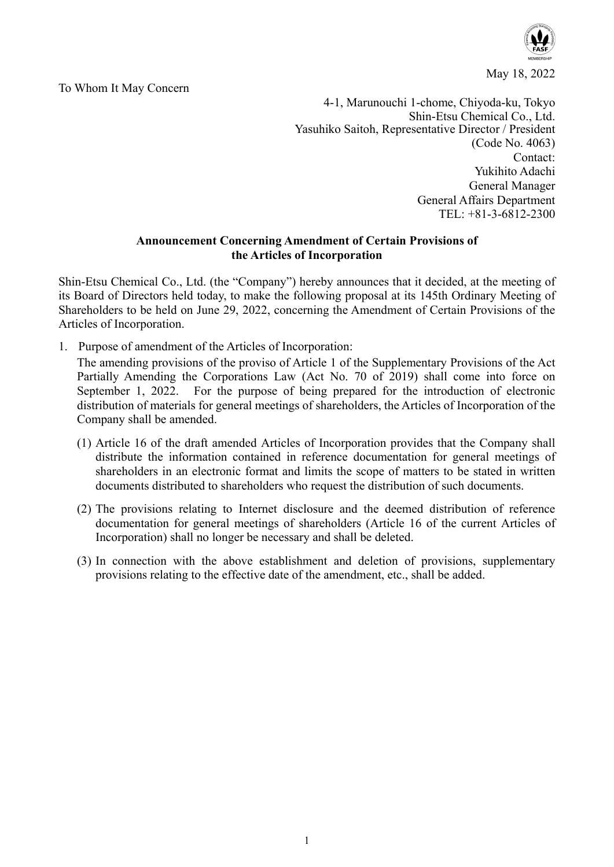

May 18, 2022

To Whom It May Concern

4-1, Marunouchi 1-chome, Chiyoda-ku, Tokyo Shin-Etsu Chemical Co., Ltd. Yasuhiko Saitoh, Representative Director / President (Code No. 4063) Contact: Yukihito Adachi General Manager General Affairs Department TEL: +81-3-6812-2300

## **Announcement Concerning Amendment of Certain Provisions of the Articles of Incorporation**

Shin-Etsu Chemical Co., Ltd. (the "Company") hereby announces that it decided, at the meeting of its Board of Directors held today, to make the following proposal at its 145th Ordinary Meeting of Shareholders to be held on June 29, 2022, concerning the Amendment of Certain Provisions of the Articles of Incorporation.

1. Purpose of amendment of the Articles of Incorporation:

The amending provisions of the proviso of Article 1 of the Supplementary Provisions of the Act Partially Amending the Corporations Law (Act No. 70 of 2019) shall come into force on September 1, 2022. For the purpose of being prepared for the introduction of electronic distribution of materials for general meetings of shareholders, the Articles of Incorporation of the Company shall be amended.

- (1) Article 16 of the draft amended Articles of Incorporation provides that the Company shall distribute the information contained in reference documentation for general meetings of shareholders in an electronic format and limits the scope of matters to be stated in written documents distributed to shareholders who request the distribution of such documents.
- (2) The provisions relating to Internet disclosure and the deemed distribution of reference documentation for general meetings of shareholders (Article 16 of the current Articles of Incorporation) shall no longer be necessary and shall be deleted.
- (3) In connection with the above establishment and deletion of provisions, supplementary provisions relating to the effective date of the amendment, etc., shall be added.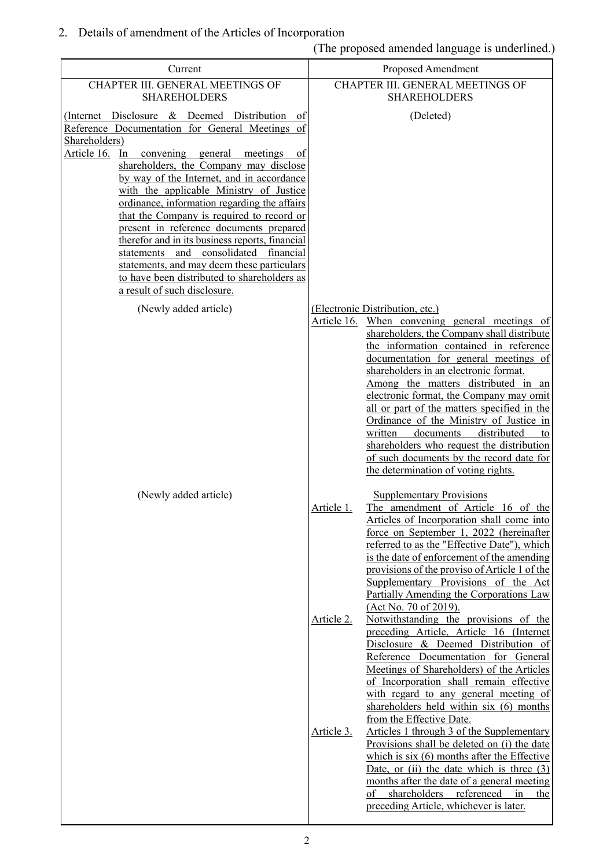## 2. Details of amendment of the Articles of Incorporation

(The proposed amended language is underlined.)

| Current                                                                                                                                                                                                                                                                                                                                                                                                                                                                                                                                                                                                                                                                              |                                                         | Proposed Amendment                                                                                                                                                                                                                                                                                                                                                                                                                                                                                                                                                                                                                                                                                                                                                                                                                                                                                                                                                                                                                                                                                                                                                                                                                                                                                 |
|--------------------------------------------------------------------------------------------------------------------------------------------------------------------------------------------------------------------------------------------------------------------------------------------------------------------------------------------------------------------------------------------------------------------------------------------------------------------------------------------------------------------------------------------------------------------------------------------------------------------------------------------------------------------------------------|---------------------------------------------------------|----------------------------------------------------------------------------------------------------------------------------------------------------------------------------------------------------------------------------------------------------------------------------------------------------------------------------------------------------------------------------------------------------------------------------------------------------------------------------------------------------------------------------------------------------------------------------------------------------------------------------------------------------------------------------------------------------------------------------------------------------------------------------------------------------------------------------------------------------------------------------------------------------------------------------------------------------------------------------------------------------------------------------------------------------------------------------------------------------------------------------------------------------------------------------------------------------------------------------------------------------------------------------------------------------|
| CHAPTER III. GENERAL MEETINGS OF<br><b>SHAREHOLDERS</b>                                                                                                                                                                                                                                                                                                                                                                                                                                                                                                                                                                                                                              | CHAPTER III. GENERAL MEETINGS OF<br><b>SHAREHOLDERS</b> |                                                                                                                                                                                                                                                                                                                                                                                                                                                                                                                                                                                                                                                                                                                                                                                                                                                                                                                                                                                                                                                                                                                                                                                                                                                                                                    |
| (Internet Disclosure & Deemed Distribution of<br>Reference Documentation for General Meetings of<br>Shareholders)<br>Article 16.<br>In<br>convening general<br>meetings<br>-of<br>shareholders, the Company may disclose<br>by way of the Internet, and in accordance<br>with the applicable Ministry of Justice<br>ordinance, information regarding the affairs<br>that the Company is required to record or<br>present in reference documents prepared<br>therefor and in its business reports, financial<br>and consolidated financial<br>statements<br>statements, and may deem these particulars<br>to have been distributed to shareholders as<br>a result of such disclosure. |                                                         | (Deleted)                                                                                                                                                                                                                                                                                                                                                                                                                                                                                                                                                                                                                                                                                                                                                                                                                                                                                                                                                                                                                                                                                                                                                                                                                                                                                          |
| (Newly added article)                                                                                                                                                                                                                                                                                                                                                                                                                                                                                                                                                                                                                                                                |                                                         | (Electronic Distribution, etc.)                                                                                                                                                                                                                                                                                                                                                                                                                                                                                                                                                                                                                                                                                                                                                                                                                                                                                                                                                                                                                                                                                                                                                                                                                                                                    |
| (Newly added article)                                                                                                                                                                                                                                                                                                                                                                                                                                                                                                                                                                                                                                                                | Article 16.<br>Article 1.<br>Article 2.                 | When convening general meetings of<br>shareholders, the Company shall distribute<br>the information contained in reference<br>documentation for general meetings of<br>shareholders in an electronic format.<br>Among the matters distributed in an<br>electronic format, the Company may omit<br>all or part of the matters specified in the<br>Ordinance of the Ministry of Justice in<br>documents<br>distributed<br>written<br>to<br>shareholders who request the distribution<br>of such documents by the record date for<br>the determination of voting rights.<br><b>Supplementary Provisions</b><br>The amendment of Article 16 of the<br>Articles of Incorporation shall come into<br>force on September 1, 2022 (hereinafter<br>referred to as the "Effective Date"), which<br>is the date of enforcement of the amending<br>provisions of the proviso of Article 1 of the<br>Supplementary Provisions of the Act<br>Partially Amending the Corporations Law<br>(Act No. 70 of 2019).<br>Notwithstanding the provisions of the<br>preceding Article, Article 16 (Internet<br>Disclosure & Deemed Distribution of<br>Reference Documentation for General<br>Meetings of Shareholders) of the Articles<br>of Incorporation shall remain effective<br>with regard to any general meeting of |
|                                                                                                                                                                                                                                                                                                                                                                                                                                                                                                                                                                                                                                                                                      | Article 3.                                              | shareholders held within six (6) months<br>from the Effective Date.<br>Articles 1 through 3 of the Supplementary<br>Provisions shall be deleted on (i) the date<br>which is $six(6)$ months after the Effective<br>Date, or (ii) the date which is three $(3)$<br>months after the date of a general meeting<br>shareholders referenced<br>in<br>of<br>the<br>preceding Article, whichever is later.                                                                                                                                                                                                                                                                                                                                                                                                                                                                                                                                                                                                                                                                                                                                                                                                                                                                                               |